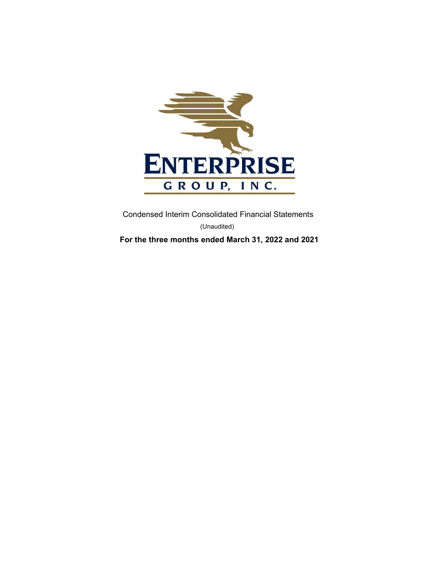

 Condensed Interim Consolidated Financial Statements (Unaudited)

**For the three months ended March 31, 2022 and 2021**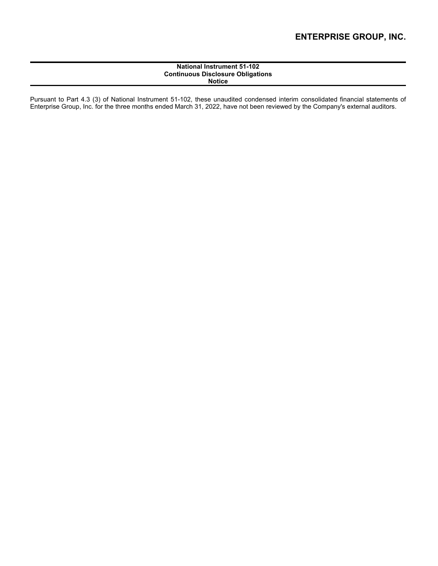## **National Instrument 51-102 Continuous Disclosure Obligations Notice**

Pursuant to Part 4.3 (3) of National Instrument 51-102, these unaudited condensed interim consolidated financial statements of Enterprise Group, Inc. for the three months ended March 31, 2022, have not been reviewed by the Company's external auditors.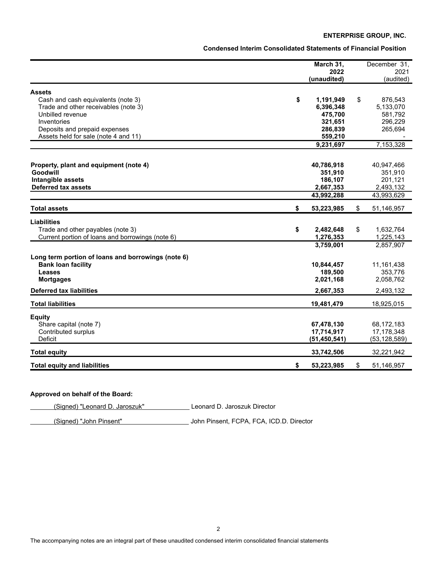**Condensed Interim Consolidated Statements of Financial Position**

|                                                    | March 31,           | December 31,      |
|----------------------------------------------------|---------------------|-------------------|
|                                                    | 2022<br>(unaudited) | 2021<br>(audited) |
|                                                    |                     |                   |
| <b>Assets</b>                                      |                     |                   |
| \$<br>Cash and cash equivalents (note 3)           | 1,191,949           | \$<br>876,543     |
| Trade and other receivables (note 3)               | 6,396,348           | 5,133,070         |
| Unbilled revenue                                   | 475,700             | 581,792           |
| Inventories                                        | 321,651             | 296,229           |
| Deposits and prepaid expenses                      | 286,839             | 265,694           |
| Assets held for sale (note 4 and 11)               | 559,210             |                   |
|                                                    | 9,231,697           | 7,153,328         |
|                                                    |                     |                   |
| Property, plant and equipment (note 4)             | 40,786,918          | 40,947,466        |
| Goodwill                                           | 351,910             | 351,910           |
| Intangible assets                                  | 186,107             | 201,121           |
| <b>Deferred tax assets</b>                         | 2,667,353           | 2,493,132         |
|                                                    | 43,992,288          | 43,993,629        |
| \$<br><b>Total assets</b>                          | 53,223,985          | \$<br>51,146,957  |
| <b>Liabilities</b>                                 |                     |                   |
| \$<br>Trade and other payables (note 3)            | 2,482,648           | \$<br>1,632,764   |
| Current portion of loans and borrowings (note 6)   | 1,276,353           | 1,225,143         |
|                                                    | 3,759,001           | 2,857,907         |
|                                                    |                     |                   |
| Long term portion of loans and borrowings (note 6) |                     |                   |
| <b>Bank loan facility</b>                          | 10,844,457          | 11, 161, 438      |
| <b>Leases</b>                                      | 189,500             | 353,776           |
| <b>Mortgages</b>                                   | 2,021,168           | 2,058,762         |
| <b>Deferred tax liabilities</b>                    | 2,667,353           | 2,493,132         |
|                                                    |                     |                   |
| <b>Total liabilities</b>                           | 19,481,479          | 18,925,015        |
| <b>Equity</b>                                      |                     |                   |
| Share capital (note 7)                             | 67,478,130          | 68,172,183        |
| Contributed surplus                                | 17,714,917          | 17,178,348        |
| Deficit                                            | (51, 450, 541)      | (53, 128, 589)    |
| <b>Total equity</b>                                | 33,742,506          | 32,221,942        |
|                                                    |                     |                   |
| <b>Total equity and liabilities</b><br>\$          | 53,223,985          | \$<br>51,146,957  |

# **Approved on behalf of the Board:**

(Signed) "Leonard D. Jaroszuk" Leonard D. Jaroszuk Director

(Signed) "John Pinsent" John Pinsent, FCPA, FCA, ICD.D. Director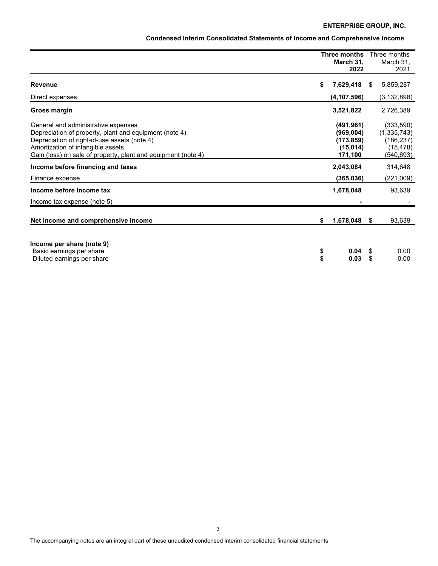| Condensed Interim Consolidated Statements of Income and Comprehensive Income |  |  |
|------------------------------------------------------------------------------|--|--|
|------------------------------------------------------------------------------|--|--|

|                                                                                                                                                                                                                                                     |          | Three months<br>March 31,<br>2022                            |          | Three months<br>March 31.<br>2021                                |
|-----------------------------------------------------------------------------------------------------------------------------------------------------------------------------------------------------------------------------------------------------|----------|--------------------------------------------------------------|----------|------------------------------------------------------------------|
| <b>Revenue</b>                                                                                                                                                                                                                                      | \$       | 7,629,418                                                    | S.       | 5,859,287                                                        |
| Direct expenses                                                                                                                                                                                                                                     |          | (4, 107, 596)                                                |          | (3, 132, 898)                                                    |
| Gross margin                                                                                                                                                                                                                                        |          | 3,521,822                                                    |          | 2,726,389                                                        |
| General and administrative expenses<br>Depreciation of property, plant and equipment (note 4)<br>Depreciation of right-of-use assets (note 4)<br>Amortization of intangible assets<br>Gain (loss) on sale of property, plant and equipment (note 4) |          | (491, 961)<br>(969,004)<br>(173, 859)<br>(15,014)<br>171,100 |          | (333,590)<br>(1,335,743)<br>(186, 237)<br>(15, 478)<br>(540,693) |
| Income before financing and taxes                                                                                                                                                                                                                   |          | 2,043,084                                                    |          | 314,648                                                          |
| Finance expense                                                                                                                                                                                                                                     |          | (365, 036)                                                   |          | (221,009)                                                        |
| Income before income tax                                                                                                                                                                                                                            |          | 1,678,048                                                    |          | 93,639                                                           |
| Income tax expense (note 5)                                                                                                                                                                                                                         |          |                                                              |          |                                                                  |
| Net income and comprehensive income                                                                                                                                                                                                                 | \$       | 1,678,048 \$                                                 |          | 93,639                                                           |
| Income per share (note 9)<br>Basic earnings per share<br>Diluted earnings per share                                                                                                                                                                 | \$<br>\$ | 0.04<br>0.03                                                 | \$<br>\$ | 0.00<br>0.00                                                     |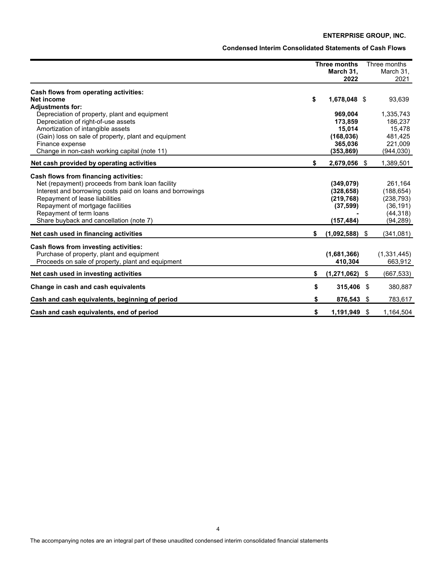**Condensed Interim Consolidated Statements of Cash Flows**

|                                                                                                                                                                                                                                                                                                    | <b>Three months</b><br>March 31,<br>2022                           |     | Three months<br>March 31,<br>2021                                         |
|----------------------------------------------------------------------------------------------------------------------------------------------------------------------------------------------------------------------------------------------------------------------------------------------------|--------------------------------------------------------------------|-----|---------------------------------------------------------------------------|
| Cash flows from operating activities:<br>Net income                                                                                                                                                                                                                                                | \$<br>1,678,048 \$                                                 |     | 93,639                                                                    |
| <b>Adjustments for:</b><br>Depreciation of property, plant and equipment<br>Depreciation of right-of-use assets<br>Amortization of intangible assets<br>(Gain) loss on sale of property, plant and equipment<br>Finance expense<br>Change in non-cash working capital (note 11)                    | 969,004<br>173,859<br>15,014<br>(168, 036)<br>365,036<br>(353,869) |     | 1,335,743<br>186,237<br>15,478<br>481,425<br>221,009<br>(944,030)         |
| Net cash provided by operating activities                                                                                                                                                                                                                                                          | \$<br>2,679,056 \$                                                 |     | 1,389,501                                                                 |
| Cash flows from financing activities:<br>Net (repayment) proceeds from bank loan facility<br>Interest and borrowing costs paid on loans and borrowings<br>Repayment of lease liabilities<br>Repayment of mortgage facilities<br>Repayment of term loans<br>Share buyback and cancellation (note 7) | (349, 079)<br>(328, 658)<br>(219, 768)<br>(37, 599)<br>(157, 484)  |     | 261,164<br>(188, 654)<br>(238, 793)<br>(36, 191)<br>(44, 318)<br>(94,289) |
| Net cash used in financing activities                                                                                                                                                                                                                                                              | \$<br>(1,092,588)                                                  | -\$ | (341,081)                                                                 |
| Cash flows from investing activities:<br>Purchase of property, plant and equipment<br>Proceeds on sale of property, plant and equipment                                                                                                                                                            | (1,681,366)<br>410,304                                             |     | (1,331,445)<br>663,912                                                    |
| Net cash used in investing activities                                                                                                                                                                                                                                                              | \$<br>$(1,271,062)$ \$                                             |     | (667, 533)                                                                |
| Change in cash and cash equivalents                                                                                                                                                                                                                                                                | \$<br>315,406 \$                                                   |     | 380,887                                                                   |
| Cash and cash equivalents, beginning of period                                                                                                                                                                                                                                                     | \$<br>876,543 \$                                                   |     | 783,617                                                                   |
| Cash and cash equivalents, end of period                                                                                                                                                                                                                                                           | \$<br>1,191,949 \$                                                 |     | 1,164,504                                                                 |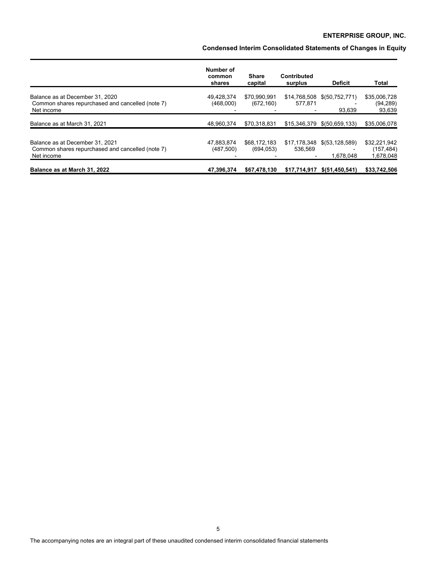**Condensed Interim Consolidated Statements of Changes in Equity**

|                                                                                                   | Number of<br>common<br>shares | <b>Share</b><br>capital    | <b>Contributed</b><br>surplus | <b>Deficit</b>              | Total                                  |
|---------------------------------------------------------------------------------------------------|-------------------------------|----------------------------|-------------------------------|-----------------------------|----------------------------------------|
| Balance as at December 31, 2020<br>Common shares repurchased and cancelled (note 7)<br>Net income | 49,428,374<br>(468,000)       | \$70,990,991<br>(672, 160) | 577.871                       | 93,639                      | \$35,006,728<br>(94, 289)<br>93,639    |
| Balance as at March 31, 2021                                                                      | 48,960,374                    | \$70,318,831               |                               | \$15,346,379 \$(50,659,133) | \$35,006,078                           |
| Balance as at December 31, 2021<br>Common shares repurchased and cancelled (note 7)<br>Net income | 47.883.874<br>(487,500)       | \$68,172,183<br>(694, 053) | 536.569                       | 1.678.048                   | \$32,221,942<br>(157,484)<br>1,678,048 |
| Balance as at March 31, 2022                                                                      | 47.396.374                    | \$67,478,130               | \$17,714,917                  | \$ (51, 450, 541)           | \$33,742,506                           |

The accompanying notes are an integral part of these unaudited condensed interim consolidated financial statements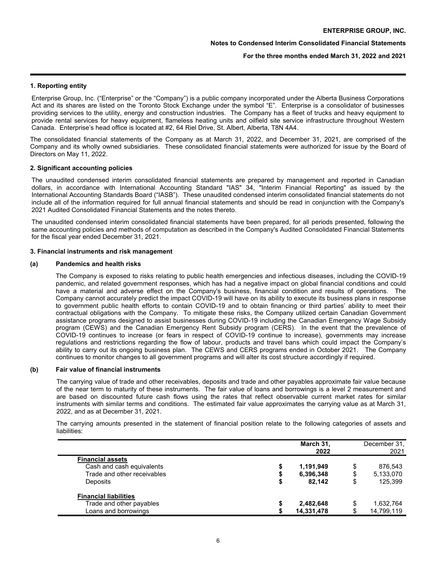## **For the three months ended March 31, 2022 and 2021**

## **1. Reporting entity**

Enterprise Group, Inc. ("Enterprise" or the "Company") is a public company incorporated under the Alberta Business Corporations Act and its shares are listed on the Toronto Stock Exchange under the symbol "E". Enterprise is a consolidator of businesses providing services to the utility, energy and construction industries. The Company has a fleet of trucks and heavy equipment to provide rental services for heavy equipment, flameless heating units and oilfield site service infrastructure throughout Western Canada. Enterprise's head office is located at #2, 64 Riel Drive, St. Albert, Alberta, T8N 4A4.

The consolidated financial statements of the Company as at March 31, 2022, and December 31, 2021, are comprised of the Company and its wholly owned subsidiaries. These consolidated financial statements were authorized for issue by the Board of Directors on May 11, 2022.

### **2. Significant accounting policies**

The unaudited condensed interim consolidated financial statements are prepared by management and reported in Canadian dollars, in accordance with International Accounting Standard "IAS" 34, "Interim Financial Reporting" as issued by the International Accounting Standards Board ("IASB"). These unaudited condensed interim consolidated financial statements do not include all of the information required for full annual financial statements and should be read in conjunction with the Company's 2021 Audited Consolidated Financial Statements and the notes thereto.

The unaudited condensed interim consolidated financial statements have been prepared, for all periods presented, following the same accounting policies and methods of computation as described in the Company's Audited Consolidated Financial Statements for the fiscal year ended December 31, 2021.

### **3. Financial instruments and risk management**

#### **(a) Pandemics and health risks**

The Company is exposed to risks relating to public health emergencies and infectious diseases, including the COVID-19 pandemic, and related government responses, which has had a negative impact on global financial conditions and could have a material and adverse effect on the Company's business, financial condition and results of operations. The Company cannot accurately predict the impact COVID-19 will have on its ability to execute its business plans in response to government public health efforts to contain COVID-19 and to obtain financing or third parties' ability to meet their contractual obligations with the Company. To mitigate these risks, the Company utilized certain Canadian Government assistance programs designed to assist businesses during COVID-19 including the Canadian Emergency Wage Subsidy program (CEWS) and the Canadian Emergency Rent Subsidy program (CERS). In the event that the prevalence of COVID-19 continues to increase (or fears in respect of COVID-19 continue to increase), governments may increase regulations and restrictions regarding the flow of labour, products and travel bans which could impact the Company's ability to carry out its ongoing business plan. The CEWS and CERS programs ended in October 2021. The Company continues to monitor changes to all government programs and will alter its cost structure accordingly if required.

## **(b) Fair value of financial instruments**

The carrying value of trade and other receivables, deposits and trade and other payables approximate fair value because of the near term to maturity of these instruments. The fair value of loans and borrowings is a level 2 measurement and are based on discounted future cash flows using the rates that reflect observable current market rates for similar instruments with similar terms and conditions. The estimated fair value approximates the carrying value as at March 31, 2022, and as at December 31, 2021.

The carrying amounts presented in the statement of financial position relate to the following categories of assets and liabilities:

|                              | March 31.<br>2022 | December 31,<br>2021 |
|------------------------------|-------------------|----------------------|
| <b>Financial assets</b>      |                   |                      |
| Cash and cash equivalents    | 1,191,949         | \$<br>876.543        |
| Trade and other receivables  | 6,396,348         | \$<br>5,133,070      |
| Deposits                     | 82.142            | \$<br>125,399        |
| <b>Financial liabilities</b> |                   |                      |
| Trade and other payables     | 2,482,648         | 1,632,764            |
| Loans and borrowings         | 14,331,478        | 14,799,119           |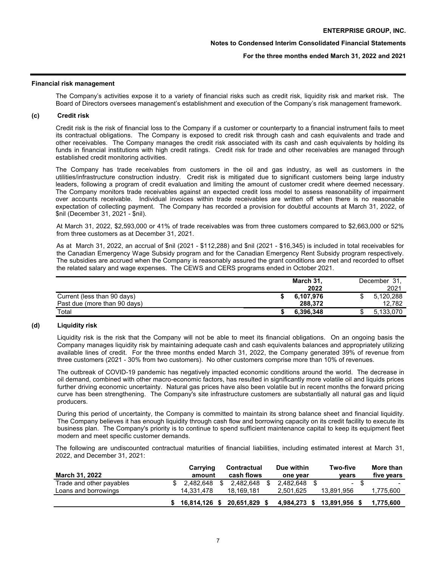### **For the three months ended March 31, 2022 and 2021**

#### **Financial risk management**

The Company's activities expose it to a variety of financial risks such as credit risk, liquidity risk and market risk. The Board of Directors oversees management's establishment and execution of the Company's risk management framework.

#### **(c) Credit risk**

Credit risk is the risk of financial loss to the Company if a customer or counterparty to a financial instrument fails to meet its contractual obligations. The Company is exposed to credit risk through cash and cash equivalents and trade and other receivables. The Company manages the credit risk associated with its cash and cash equivalents by holding its funds in financial institutions with high credit ratings. Credit risk for trade and other receivables are managed through established credit monitoring activities.

The Company has trade receivables from customers in the oil and gas industry, as well as customers in the utilities/infrastructure construction industry. Credit risk is mitigated due to significant customers being large industry leaders, following a program of credit evaluation and limiting the amount of customer credit where deemed necessary. The Company monitors trade receivables against an expected credit loss model to assess reasonability of impairment over accounts receivable. Individual invoices within trade receivables are written off when there is no reasonable expectation of collecting payment. The Company has recorded a provision for doubtful accounts at March 31, 2022, of \$nil (December 31, 2021 - \$nil).

At March 31, 2022, \$2,593,000 or 41% of trade receivables was from three customers compared to \$2,663,000 or 52% from three customers as at December 31, 2021.

As at March 31, 2022, an accrual of \$nil (2021 - \$112,288) and \$nil (2021 - \$16,345) is included in total receivables for the Canadian Emergency Wage Subsidy program and for the Canadian Emergency Rent Subsidy program respectively. The subsidies are accrued when the Company is reasonably assured the grant conditions are met and recorded to offset the related salary and wage expenses. The CEWS and CERS programs ended in October 2021.

|                              | March 31, | December 31. |
|------------------------------|-----------|--------------|
|                              | 2022      | 2021         |
| Current (less than 90 days)  | 6.107.976 | 5.120.288    |
| Past due (more than 90 days) | 288.372   | 12.782       |
| Total                        | 6.396.348 | 5,133,070    |

# **(d) Liquidity risk**

Liquidity risk is the risk that the Company will not be able to meet its financial obligations. On an ongoing basis the Company manages liquidity risk by maintaining adequate cash and cash equivalents balances and appropriately utilizing available lines of credit. For the three months ended March 31, 2022, the Company generated 39% of revenue from three customers (2021 - 30% from two customers). No other customers comprise more than 10% of revenues.

The outbreak of COVID-19 pandemic has negatively impacted economic conditions around the world. The decrease in oil demand, combined with other macro-economic factors, has resulted in significantly more volatile oil and liquids prices further driving economic uncertainty. Natural gas prices have also been volatile but in recent months the forward pricing curve has been strengthening. The Company's site infrastructure customers are substantially all natural gas and liquid producers.

During this period of uncertainty, the Company is committed to maintain its strong balance sheet and financial liquidity. The Company believes it has enough liquidity through cash flow and borrowing capacity on its credit facility to execute its business plan. The Company's priority is to continue to spend sufficient maintenance capital to keep its equipment fleet modern and meet specific customer demands.

The following are undiscounted contractual maturities of financial liabilities, including estimated interest at March 31, 2022, and December 31, 2021:

| <b>March 31, 2022</b>    | Carrying<br>amount |     | Contractual<br>cash flows | Due within<br>one year |      | Two-five<br>vears | More than<br>five years  |
|--------------------------|--------------------|-----|---------------------------|------------------------|------|-------------------|--------------------------|
| Trade and other payables | 2.482.648          |     | 2.482.648                 | 2.482.648              | - \$ | $\sim$            | $\overline{\phantom{a}}$ |
| Loans and borrowings     | 14.331.478         |     | 18,169,181                | 2.501.625              |      | 13.891.956        | 1,775,600                |
|                          | \$16.814.126       | - 5 | 20.651.829                | 4.984.273              |      | 13,891,956        | 1.775.600                |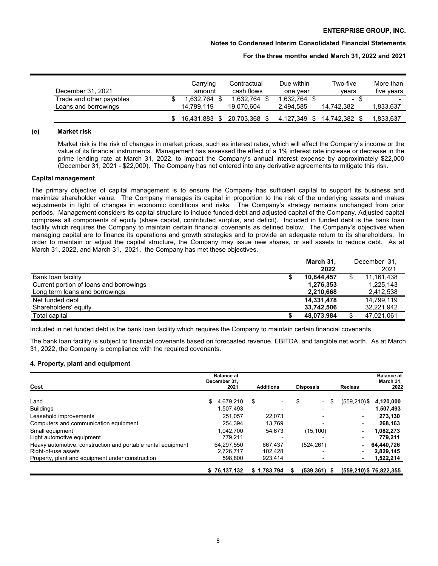### **Notes to Condensed Interim Consolidated Financial Statements**

#### **For the three months ended March 31, 2022 and 2021**

| December 31, 2021                                | Carrying<br>amount     | Contractual<br>cash flows  | Due within<br>one vear | Two-five<br>vears  | More than<br>five vears |
|--------------------------------------------------|------------------------|----------------------------|------------------------|--------------------|-------------------------|
| Trade and other payables<br>Loans and borrowings | .632.764<br>14.799.119 | 1.632.764 \$<br>19.070.604 | 1.632.764<br>2.494.585 | - \$<br>14.742.382 | .833,637                |
|                                                  | 16.431.883 \$          | 20.703.368 \$              | 4.127.349<br>- \$      | 14.742.382         | .833.637                |

#### **(e) Market risk**

Market risk is the risk of changes in market prices, such as interest rates, which will affect the Company's income or the value of its financial instruments. Management has assessed the effect of a 1% interest rate increase or decrease in the prime lending rate at March 31, 2022, to impact the Company's annual interest expense by approximately \$22,000 (December 31, 2021 - \$22,000). The Company has not entered into any derivative agreements to mitigate this risk.

#### **Capital management**

The primary objective of capital management is to ensure the Company has sufficient capital to support its business and maximize shareholder value. The Company manages its capital in proportion to the risk of the underlying assets and makes adjustments in light of changes in economic conditions and risks. The Company's strategy remains unchanged from prior periods. Management considers its capital structure to include funded debt and adjusted capital of the Company. Adjusted capital comprises all components of equity (share capital, contributed surplus, and deficit). Included in funded debt is the bank loan facility which requires the Company to maintain certain financial covenants as defined below. The Company's objectives when managing capital are to finance its operations and growth strategies and to provide an adequate return to its shareholders. In order to maintain or adjust the capital structure, the Company may issue new shares, or sell assets to reduce debt. As at March 31, 2022, and March 31, 2021, the Company has met these objectives.

|                                         | March 31,  | December 31,     |
|-----------------------------------------|------------|------------------|
|                                         | 2022       | 2021             |
| Bank loan facility                      | 10.844.457 | \$<br>11,161,438 |
| Current portion of loans and borrowings | 1,276,353  | 1.225.143        |
| Long term loans and borrowings          | 2,210,668  | 2,412,538        |
| Net funded debt                         | 14,331,478 | 14.799.119       |
| Shareholders' equity                    | 33,742,506 | 32,221,942       |
| Total capital                           | 48,073,984 | 47,021,061       |

Included in net funded debt is the bank loan facility which requires the Company to maintain certain financial covenants.

The bank loan facility is subject to financial covenants based on forecasted revenue, EBITDA, and tangible net worth. As at March 31, 2022, the Company is compliance with the required covenants.

#### **4. Property, plant and equipment**

| Cost                                                         | <b>Balance at</b><br>December 31,<br>2021 | <b>Additions</b>         | <b>Disposals</b>                     | <b>Reclass</b>           | <b>Balance at</b><br>March 31,<br>2022 |
|--------------------------------------------------------------|-------------------------------------------|--------------------------|--------------------------------------|--------------------------|----------------------------------------|
| Land                                                         | 4.679.210<br>\$                           | \$<br>٠                  | \$<br>\$<br>$\overline{\phantom{0}}$ | (559,210)\$              | 4,120,000                              |
| <b>Buildings</b>                                             | 1.507.493                                 | $\overline{\phantom{a}}$ |                                      | ۰.                       | 1,507,493                              |
| Leasehold improvements                                       | 251.057                                   | 22.073                   |                                      | $\overline{\phantom{0}}$ | 273,130                                |
| Computers and communication equipment                        | 254.394                                   | 13.769                   |                                      | $\overline{\phantom{0}}$ | 268,163                                |
| Small equipment                                              | 1.042.700                                 | 54,673                   | (15, 100)                            | $\overline{\phantom{0}}$ | 1,082,273                              |
| Light automotive equipment                                   | 779.211                                   |                          |                                      | $\overline{\phantom{0}}$ | 779.211                                |
| Heavy automotive, construction and portable rental equipment | 64,297,550                                | 667.437                  | (524, 261)                           | $\overline{\phantom{0}}$ | 64,440,726                             |
| Right-of-use assets                                          | 2.726.717                                 | 102.428                  |                                      | $\overline{\phantom{0}}$ | 2,829,145                              |
| Property, plant and equipment under construction             | 598,800                                   | 923,414                  |                                      | $\overline{\phantom{a}}$ | 1,522,214                              |
|                                                              | \$76,137,132                              | \$1.783.794              | $(539, 361)$ \$<br>S                 |                          | (559,210) \$76,822,355                 |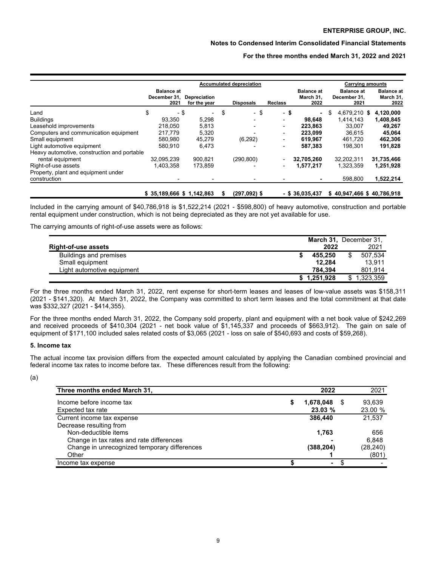## **Notes to Condensed Interim Consolidated Financial Statements**

**For the three months ended March 31, 2022 and 2021**

| <b>Depreciation</b><br>for the year<br>$\overline{\phantom{0}}$<br>5,298<br>5,813<br>5,320<br>45,279 | \$      | <b>Disposals</b><br>- \$<br>(6, 292) | <b>Reclass</b> | - \$<br>$\overline{\phantom{0}}$<br>۰<br>٠ | <b>Balance at</b><br>March 31,<br>2022<br>98.648<br>223,863<br>223,099 | \$<br><b>Balance at</b><br>December 31,<br>2021<br>4,679,210 \$<br>1,414,143<br>33,007<br>36,615 |            | <b>Balance at</b><br>March 31,<br>2022<br>4,120,000<br>1,408,845<br>49,267<br>45,064              |
|------------------------------------------------------------------------------------------------------|---------|--------------------------------------|----------------|--------------------------------------------|------------------------------------------------------------------------|--------------------------------------------------------------------------------------------------|------------|---------------------------------------------------------------------------------------------------|
|                                                                                                      |         |                                      |                |                                            |                                                                        |                                                                                                  |            |                                                                                                   |
|                                                                                                      |         |                                      |                |                                            |                                                                        |                                                                                                  |            |                                                                                                   |
|                                                                                                      |         |                                      |                |                                            |                                                                        |                                                                                                  |            |                                                                                                   |
|                                                                                                      |         |                                      |                |                                            |                                                                        |                                                                                                  |            |                                                                                                   |
|                                                                                                      |         |                                      |                |                                            |                                                                        |                                                                                                  |            |                                                                                                   |
|                                                                                                      |         |                                      |                |                                            | 619.967                                                                | 461,720                                                                                          |            | 462,306                                                                                           |
| 6,473                                                                                                |         |                                      |                |                                            | 587,383                                                                | 198,301                                                                                          |            | 191,828                                                                                           |
|                                                                                                      |         |                                      |                |                                            |                                                                        |                                                                                                  |            |                                                                                                   |
| 900.821                                                                                              |         | (290, 800)                           |                | ٠                                          | 32,705,260                                                             | 32,202,311                                                                                       | 31,735,466 |                                                                                                   |
|                                                                                                      |         |                                      |                | $\overline{\phantom{0}}$                   | 1,577,217                                                              | 1,323,359                                                                                        |            | 1,251,928                                                                                         |
|                                                                                                      |         |                                      |                |                                            |                                                                        |                                                                                                  |            |                                                                                                   |
|                                                                                                      |         |                                      |                |                                            |                                                                        | 598,800                                                                                          |            | 1,522,214                                                                                         |
|                                                                                                      | 173,859 |                                      |                |                                            |                                                                        |                                                                                                  |            | $$35,189,666$ $$1,142,863$<br>\$40,947,466 \$40,786,918<br>(297,092) \$<br>$-$ \$ 36.035.437<br>S |

Included in the carrying amount of \$40,786,918 is \$1,522,214 (2021 - \$598,800) of heavy automotive, construction and portable rental equipment under construction, which is not being depreciated as they are not yet available for use.

The carrying amounts of right-of-use assets were as follows:

|                            | March 31, December 31, |               |
|----------------------------|------------------------|---------------|
| <b>Right-of-use assets</b> | 2022                   | 2021          |
| Buildings and premises     | 455.250                | \$<br>507.534 |
| Small equipment            | 12.284                 | 13.911        |
| Light automotive equipment | 784.394                | 801.914       |
|                            | \$1,251,928            | 1.323.359     |

For the three months ended March 31, 2022, rent expense for short-term leases and leases of low-value assets was \$158,311 (2021 - \$141,320). At March 31, 2022, the Company was committed to short term leases and the total commitment at that date was \$332,327 (2021 - \$414,355).

For the three months ended March 31, 2022, the Company sold property, plant and equipment with a net book value of \$242,269 and received proceeds of \$410,304 (2021 - net book value of \$1,145,337 and proceeds of \$663,912). The gain on sale of equipment of \$171,100 included sales related costs of \$3,065 (2021 - loss on sale of \$540,693 and costs of \$59,268).

## **5. Income tax**

The actual income tax provision differs from the expected amount calculated by applying the Canadian combined provincial and federal income tax rates to income before tax. These differences result from the following:

<sup>(</sup>a)

| Three months ended March 31,                                     | 2022                 | 2021                    |
|------------------------------------------------------------------|----------------------|-------------------------|
| Income before income tax<br>Expected tax rate                    | 1,678,048<br>23.03 % | 93.639<br>\$<br>23.00 % |
| Current income tax expense<br>Decrease resulting from            | 386.440              | 21,537                  |
| Non-deductible items<br>Change in tax rates and rate differences | 1,763                | 656<br>6.848            |
| Change in unrecognized temporary differences<br>Other            | (388,204)            | (28, 240)<br>(801)      |
| Income tax expense                                               |                      |                         |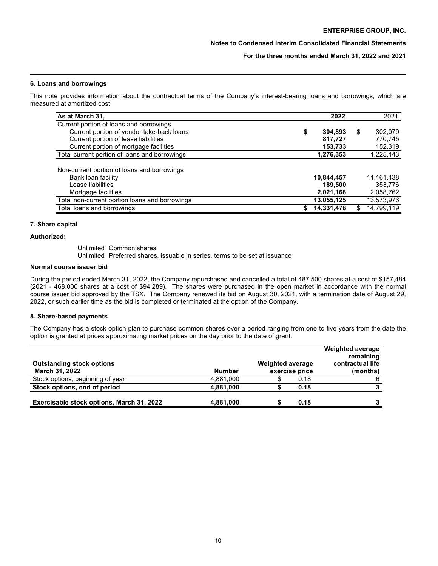# **For the three months ended March 31, 2022 and 2021**

## **6. Loans and borrowings**

This note provides information about the contractual terms of the Company's interest-bearing loans and borrowings, which are measured at amortized cost.

| As at March 31,                                | 2022          |   | 2021       |
|------------------------------------------------|---------------|---|------------|
| Current portion of loans and borrowings        |               |   |            |
| Current portion of vendor take-back loans      | \$<br>304.893 | S | 302,079    |
| Current portion of lease liabilities           | 817,727       |   | 770.745    |
| Current portion of mortgage facilities         | 153,733       |   | 152,319    |
| Total current portion of loans and borrowings  | 1,276,353     |   | 1,225,143  |
| Non-current portion of loans and borrowings    |               |   |            |
| Bank loan facility                             | 10,844,457    |   | 11,161,438 |
| Lease liabilities                              | 189,500       |   | 353.776    |
| Mortgage facilities                            | 2,021,168     |   | 2,058,762  |
| Total non-current portion loans and borrowings | 13,055,125    |   | 13,573,976 |
| Total loans and borrowings                     | 14,331,478    |   | 14,799,119 |

## **7. Share capital**

## **Authorized:**

Unlimited Common shares

Unlimited Preferred shares, issuable in series, terms to be set at issuance

## **Normal course issuer bid**

During the period ended March 31, 2022, the Company repurchased and cancelled a total of 487,500 shares at a cost of \$157,484 (2021 - 468,000 shares at a cost of \$94,289). The shares were purchased in the open market in accordance with the normal course issuer bid approved by the TSX. The Company renewed its bid on August 30, 2021, with a termination date of August 29, 2022, or such earlier time as the bid is completed or terminated at the option of the Company.

## **8. Share-based payments**

The Company has a stock option plan to purchase common shares over a period ranging from one to five years from the date the option is granted at prices approximating market prices on the day prior to the date of grant.

| <b>Outstanding stock options</b><br><b>March 31, 2022</b> | <b>Number</b> | <b>Weighted average</b> | exercise price | <b>Weighted average</b><br>remaining<br>contractual life<br>(months) |
|-----------------------------------------------------------|---------------|-------------------------|----------------|----------------------------------------------------------------------|
| Stock options, beginning of year                          | 4,881,000     |                         | 0.18           |                                                                      |
| Stock options, end of period                              | 4,881,000     |                         | 0.18           |                                                                      |
| Exercisable stock options, March 31, 2022                 | 4,881,000     |                         | 0.18           |                                                                      |